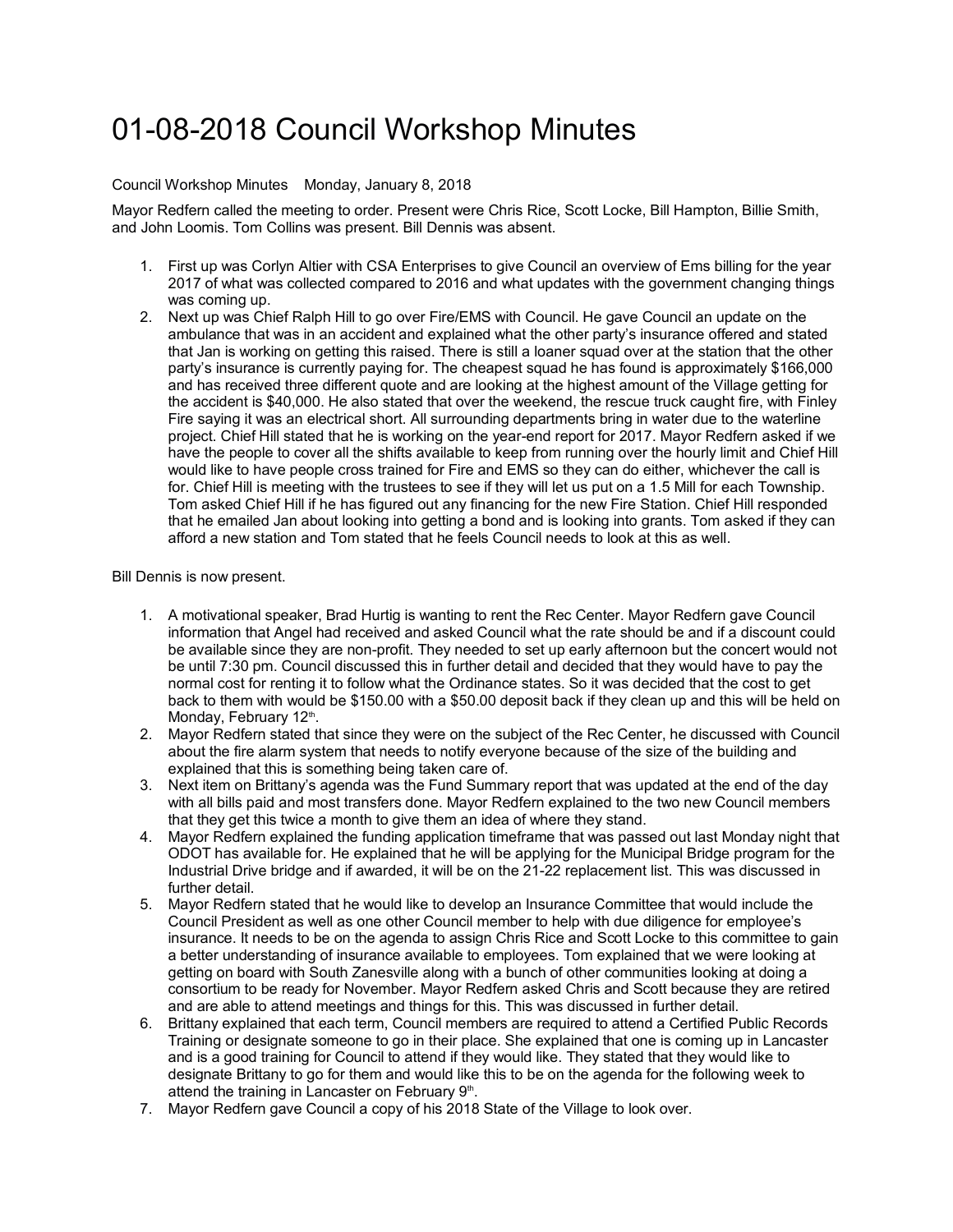## 01-08-2018 Council Workshop Minutes

## Council Workshop Minutes Monday, January 8, 2018

Mayor Redfern called the meeting to order. Present were Chris Rice, Scott Locke, Bill Hampton, Billie Smith, and John Loomis. Tom Collins was present. Bill Dennis was absent.

- 1. First up was Corlyn Altier with CSA Enterprises to give Council an overview of Ems billing for the year 2017 of what was collected compared to 2016 and what updates with the government changing things was coming up.
- 2. Next up was Chief Ralph Hill to go over Fire/EMS with Council. He gave Council an update on the ambulance that was in an accident and explained what the other party's insurance offered and stated that Jan is working on getting this raised. There is still a loaner squad over at the station that the other party's insurance is currently paying for. The cheapest squad he has found is approximately \$166,000 and has received three different quote and are looking at the highest amount of the Village getting for the accident is \$40,000. He also stated that over the weekend, the rescue truck caught fire, with Finley Fire saying it was an electrical short. All surrounding departments bring in water due to the waterline project. Chief Hill stated that he is working on the year-end report for 2017. Mayor Redfern asked if we have the people to cover all the shifts available to keep from running over the hourly limit and Chief Hill would like to have people cross trained for Fire and EMS so they can do either, whichever the call is for. Chief Hill is meeting with the trustees to see if they will let us put on a 1.5 Mill for each Township. Tom asked Chief Hill if he has figured out any financing for the new Fire Station. Chief Hill responded that he emailed Jan about looking into getting a bond and is looking into grants. Tom asked if they can afford a new station and Tom stated that he feels Council needs to look at this as well.

Bill Dennis is now present.

- 1. A motivational speaker, Brad Hurtig is wanting to rent the Rec Center. Mayor Redfern gave Council information that Angel had received and asked Council what the rate should be and if a discount could be available since they are non-profit. They needed to set up early afternoon but the concert would not be until 7:30 pm. Council discussed this in further detail and decided that they would have to pay the normal cost for renting it to follow what the Ordinance states. So it was decided that the cost to get back to them with would be \$150.00 with a \$50.00 deposit back if they clean up and this will be held on Monday, February 12th.
- 2. Mayor Redfern stated that since they were on the subject of the Rec Center, he discussed with Council about the fire alarm system that needs to notify everyone because of the size of the building and explained that this is something being taken care of.
- 3. Next item on Brittany's agenda was the Fund Summary report that was updated at the end of the day with all bills paid and most transfers done. Mayor Redfern explained to the two new Council members that they get this twice a month to give them an idea of where they stand.
- 4. Mayor Redfern explained the funding application timeframe that was passed out last Monday night that ODOT has available for. He explained that he will be applying for the Municipal Bridge program for the Industrial Drive bridge and if awarded, it will be on the 21-22 replacement list. This was discussed in further detail.
- 5. Mayor Redfern stated that he would like to develop an Insurance Committee that would include the Council President as well as one other Council member to help with due diligence for employee's insurance. It needs to be on the agenda to assign Chris Rice and Scott Locke to this committee to gain a better understanding of insurance available to employees. Tom explained that we were looking at getting on board with South Zanesville along with a bunch of other communities looking at doing a consortium to be ready for November. Mayor Redfern asked Chris and Scott because they are retired and are able to attend meetings and things for this. This was discussed in further detail.
- 6. Brittany explained that each term, Council members are required to attend a Certified Public Records Training or designate someone to go in their place. She explained that one is coming up in Lancaster and is a good training for Council to attend if they would like. They stated that they would like to designate Brittany to go for them and would like this to be on the agenda for the following week to attend the training in Lancaster on February  $9<sup>th</sup>$ .
- 7. Mayor Redfern gave Council a copy of his 2018 State of the Village to look over.